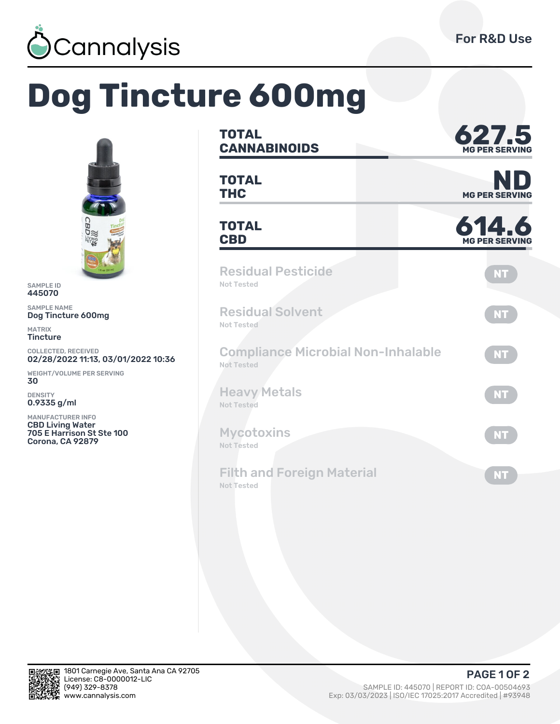

# **Dog Tincture 600mg**



SAMPLE ID 445070

SAMPLE NAME Dog Tincture 600mg

MATRIX **Tincture** 

COLLECTED, RECEIVED 02/28/2022 11:13, 03/01/2022 10:36

WEIGHT/VOLUME PER SERVING 30

DENSITY 0.9335 g/ml

MANUFACTURER INFO CBD Living Water 705 E Harrison St Ste 100 Corona, CA 92879

| <b>TOTAL</b><br><b>CANNABINOIDS</b>                     | 627.5<br><b>MG PER SERVING</b> |  |  |  |
|---------------------------------------------------------|--------------------------------|--|--|--|
| <b>TOTAL</b><br><b>THC</b>                              | NI<br><b>MG PER SERVING</b>    |  |  |  |
| <b>TOTAL</b><br><b>CBD</b>                              | 614.6<br><b>MG PER SERVING</b> |  |  |  |
| <b>Residual Pesticide</b><br>Not Tested                 | <b>NT</b>                      |  |  |  |
| <b>Residual Solvent</b><br>Not Tested                   | <b>NT</b>                      |  |  |  |
| <b>Compliance Microbial Non-Inhalable</b><br>Not Tested | <b>NT</b>                      |  |  |  |
| <b>Heavy Metals</b><br>Not Tested                       | <b>NT</b>                      |  |  |  |
| <b>Mycotoxins</b><br>Not Tested                         | <b>NT</b>                      |  |  |  |
| <b>Filth and Foreign Material</b><br><b>Not Tested</b>  | <b>NT</b>                      |  |  |  |